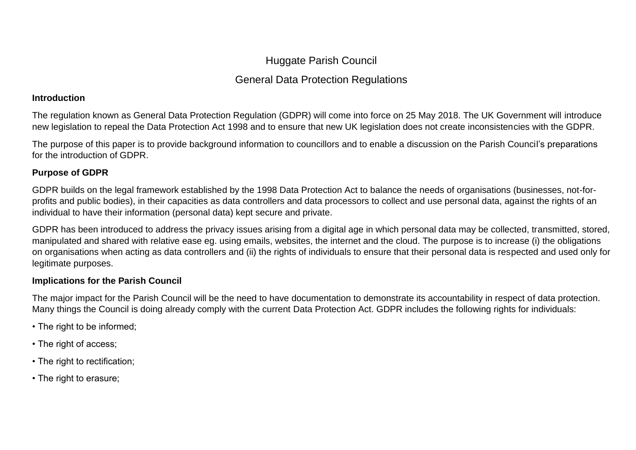# Huggate Parish Council

# General Data Protection Regulations

#### **Introduction**

The regulation known as General Data Protection Regulation (GDPR) will come into force on 25 May 2018. The UK Government will introduce new legislation to repeal the Data Protection Act 1998 and to ensure that new UK legislation does not create inconsistencies with the GDPR.

The purpose of this paper is to provide background information to councillors and to enable a discussion on the Parish Council's preparations for the introduction of GDPR.

### **Purpose of GDPR**

GDPR builds on the legal framework established by the 1998 Data Protection Act to balance the needs of organisations (businesses, not-forprofits and public bodies), in their capacities as data controllers and data processors to collect and use personal data, against the rights of an individual to have their information (personal data) kept secure and private.

GDPR has been introduced to address the privacy issues arising from a digital age in which personal data may be collected, transmitted, stored, manipulated and shared with relative ease eg. using emails, websites, the internet and the cloud. The purpose is to increase (i) the obligations on organisations when acting as data controllers and (ii) the rights of individuals to ensure that their personal data is respected and used only for legitimate purposes.

## **Implications for the Parish Council**

The major impact for the Parish Council will be the need to have documentation to demonstrate its accountability in respect of data protection. Many things the Council is doing already comply with the current Data Protection Act. GDPR includes the following rights for individuals:

- The right to be informed;
- The right of access;
- The right to rectification;
- The right to erasure;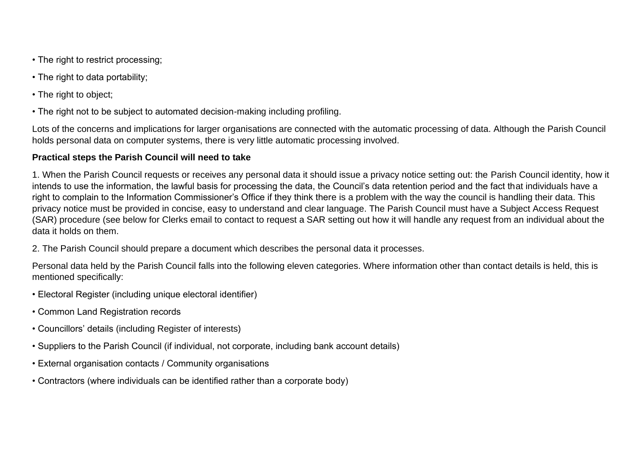- The right to restrict processing;
- The right to data portability;
- The right to object;
- The right not to be subject to automated decision-making including profiling.

Lots of the concerns and implications for larger organisations are connected with the automatic processing of data. Although the Parish Council holds personal data on computer systems, there is very little automatic processing involved.

### **Practical steps the Parish Council will need to take**

1. When the Parish Council requests or receives any personal data it should issue a privacy notice setting out: the Parish Council identity, how it intends to use the information, the lawful basis for processing the data, the Council's data retention period and the fact that individuals have a right to complain to the Information Commissioner's Office if they think there is a problem with the way the council is handling their data. This privacy notice must be provided in concise, easy to understand and clear language. The Parish Council must have a Subject Access Request (SAR) procedure (see below for Clerks email to contact to request a SAR setting out how it will handle any request from an individual about the data it holds on them.

2. The Parish Council should prepare a document which describes the personal data it processes.

Personal data held by the Parish Council falls into the following eleven categories. Where information other than contact details is held, this is mentioned specifically:

- Electoral Register (including unique electoral identifier)
- Common Land Registration records
- Councillors' details (including Register of interests)
- Suppliers to the Parish Council (if individual, not corporate, including bank account details)
- External organisation contacts / Community organisations
- Contractors (where individuals can be identified rather than a corporate body)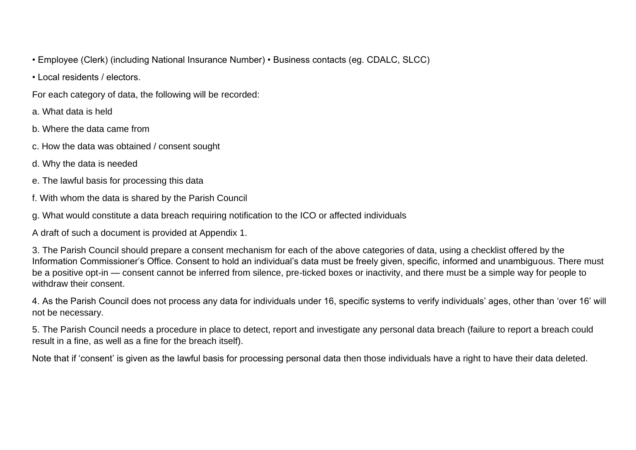- Employee (Clerk) (including National Insurance Number) Business contacts (eg. CDALC, SLCC)
- Local residents / electors.
- For each category of data, the following will be recorded:
- a. What data is held
- b. Where the data came from
- c. How the data was obtained / consent sought
- d. Why the data is needed
- e. The lawful basis for processing this data
- f. With whom the data is shared by the Parish Council
- g. What would constitute a data breach requiring notification to the ICO or affected individuals
- A draft of such a document is provided at Appendix 1.

3. The Parish Council should prepare a consent mechanism for each of the above categories of data, using a checklist offered by the Information Commissioner's Office. Consent to hold an individual's data must be freely given, specific, informed and unambiguous. There must be a positive opt-in — consent cannot be inferred from silence, pre-ticked boxes or inactivity, and there must be a simple way for people to withdraw their consent.

4. As the Parish Council does not process any data for individuals under 16, specific systems to verify individuals' ages, other than 'over 16' will not be necessary.

5. The Parish Council needs a procedure in place to detect, report and investigate any personal data breach (failure to report a breach could result in a fine, as well as a fine for the breach itself).

Note that if 'consent' is given as the lawful basis for processing personal data then those individuals have a right to have their data deleted.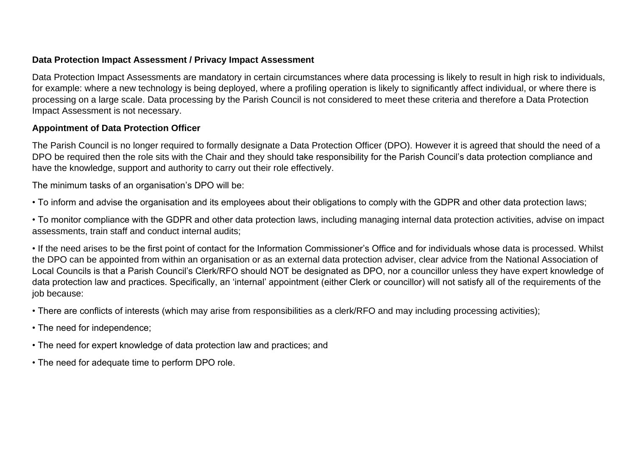#### **Data Protection Impact Assessment / Privacy Impact Assessment**

Data Protection Impact Assessments are mandatory in certain circumstances where data processing is likely to result in high risk to individuals, for example: where a new technology is being deployed, where a profiling operation is likely to significantly affect individual, or where there is processing on a large scale. Data processing by the Parish Council is not considered to meet these criteria and therefore a Data Protection Impact Assessment is not necessary.

#### **Appointment of Data Protection Officer**

The Parish Council is no longer required to formally designate a Data Protection Officer (DPO). However it is agreed that should the need of a DPO be required then the role sits with the Chair and they should take responsibility for the Parish Council's data protection compliance and have the knowledge, support and authority to carry out their role effectively.

The minimum tasks of an organisation's DPO will be:

• To inform and advise the organisation and its employees about their obligations to comply with the GDPR and other data protection laws;

• To monitor compliance with the GDPR and other data protection laws, including managing internal data protection activities, advise on impact assessments, train staff and conduct internal audits;

• If the need arises to be the first point of contact for the Information Commissioner's Office and for individuals whose data is processed. Whilst the DPO can be appointed from within an organisation or as an external data protection adviser, clear advice from the National Association of Local Councils is that a Parish Council's Clerk/RFO should NOT be designated as DPO, nor a councillor unless they have expert knowledge of data protection law and practices. Specifically, an 'internal' appointment (either Clerk or councillor) will not satisfy all of the requirements of the job because:

• There are conflicts of interests (which may arise from responsibilities as a clerk/RFO and may including processing activities);

- The need for independence;
- The need for expert knowledge of data protection law and practices; and
- The need for adequate time to perform DPO role.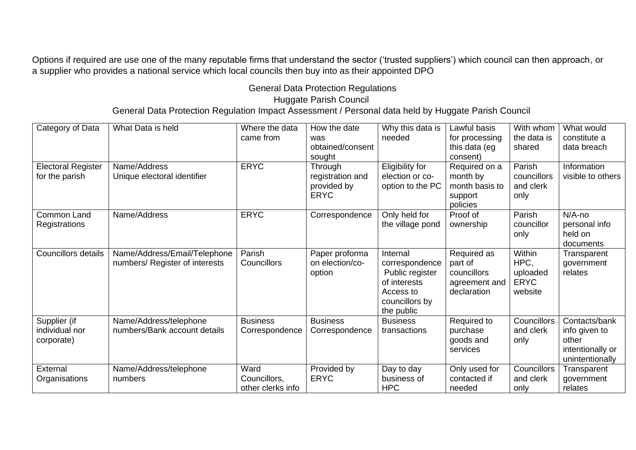Options if required are use one of the many reputable firms that understand the sector ('trusted suppliers') which council can then approach, or a supplier who provides a national service which local councils then buy into as their appointed DPO

General Data Protection Regulations

Huggate Parish Council

General Data Protection Regulation Impact Assessment / Personal data held by Huggate Parish Council

| Category of Data<br><b>Electoral Register</b><br>for the parish | What Data is held<br>Name/Address<br>Unique electoral identifier | Where the data<br>came from<br><b>ERYC</b> | How the date<br>was<br>obtained/consent<br>sought<br>Through<br>registration and<br>provided by<br><b>ERYC</b> | Why this data is<br>needed<br>Eligibility for<br>election or co-<br>option to the PC                       | Lawful basis<br>for processing<br>this data (eg<br>consent)<br>Required on a<br>month by<br>month basis to<br>support<br>policies | With whom<br>the data is<br>shared<br>Parish<br>councillors<br>and clerk<br>only | What would<br>constitute a<br>data breach<br>Information<br>visible to others  |
|-----------------------------------------------------------------|------------------------------------------------------------------|--------------------------------------------|----------------------------------------------------------------------------------------------------------------|------------------------------------------------------------------------------------------------------------|-----------------------------------------------------------------------------------------------------------------------------------|----------------------------------------------------------------------------------|--------------------------------------------------------------------------------|
| Common Land<br>Registrations                                    | Name/Address                                                     | <b>ERYC</b>                                | Correspondence                                                                                                 | Only held for<br>the village pond                                                                          | Proof of<br>ownership                                                                                                             | Parish<br>councillor<br>only                                                     | $N/A$ -no<br>personal info<br>held on<br>documents                             |
| Councillors details                                             | Name/Address/Email/Telephone<br>numbers/ Register of interests   | Parish<br><b>Councillors</b>               | Paper proforma<br>on election/co-<br>option                                                                    | Internal<br>correspondence<br>Public register<br>of interests<br>Access to<br>councillors by<br>the public | Required as<br>part of<br>councillors<br>agreement and<br>declaration                                                             | Within<br>HPC,<br>uploaded<br><b>ERYC</b><br>website                             | Transparent<br>government<br>relates                                           |
| Supplier (if<br>individual nor<br>corporate)                    | Name/Address/telephone<br>numbers/Bank account details           | <b>Business</b><br>Correspondence          | <b>Business</b><br>Correspondence                                                                              | <b>Business</b><br>transactions                                                                            | Required to<br>purchase<br>goods and<br>services                                                                                  | Councillors<br>and clerk<br>only                                                 | Contacts/bank<br>info given to<br>other<br>intentionally or<br>unintentionally |
| External<br>Organisations                                       | Name/Address/telephone<br>numbers                                | Ward<br>Councillors,<br>other clerks info  | Provided by<br><b>ERYC</b>                                                                                     | Day to day<br>business of<br><b>HPC</b>                                                                    | Only used for<br>contacted if<br>needed                                                                                           | Councillors<br>and clerk<br>only                                                 | Transparent<br>government<br>relates                                           |